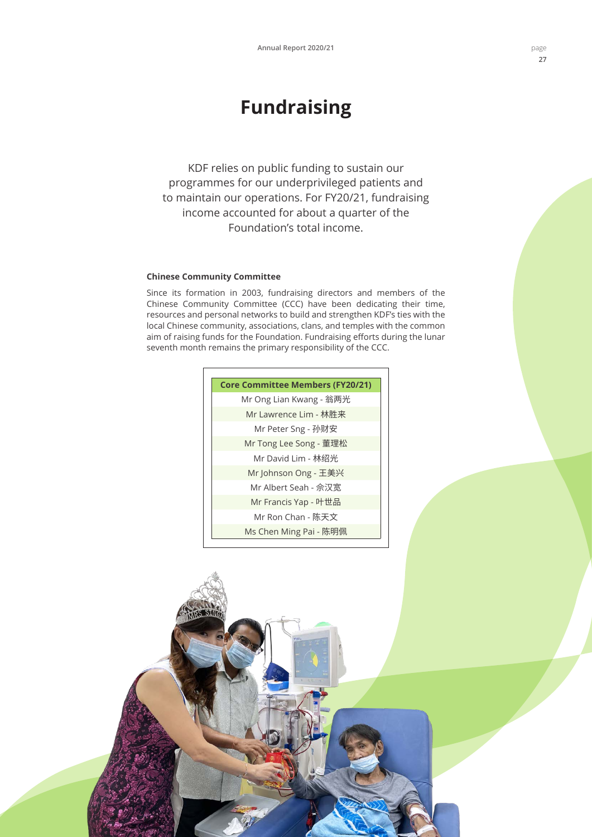# **Fundraising**

KDF relies on public funding to sustain our programmes for our underprivileged patients and to maintain our operations. For FY20/21, fundraising income accounted for about a quarter of the Foundation's total income.

# **Chinese Community Committee**

Since its formation in 2003, fundraising directors and members of the Chinese Community Committee (CCC) have been dedicating their time, resources and personal networks to build and strengthen KDF's ties with the local Chinese community, associations, clans, and temples with the common aim of raising funds for the Foundation. Fundraising efforts during the lunar seventh month remains the primary responsibility of the CCC.